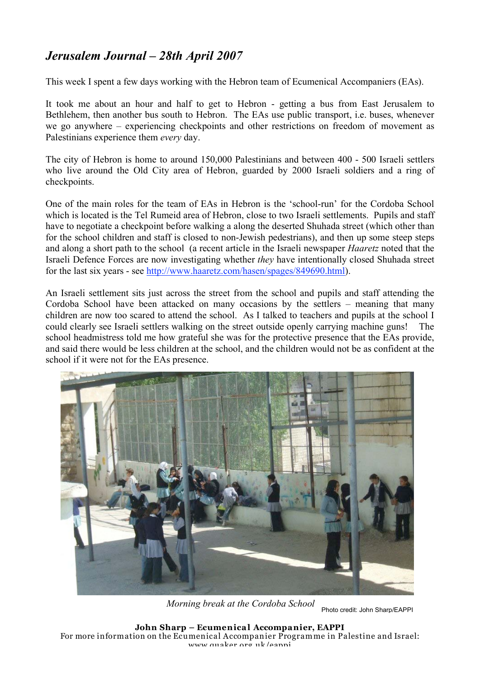## *Jerusalem Journal – 28th April 2007*

This week I spent a few days working with the Hebron team of Ecumenical Accompaniers (EAs).

It took me about an hour and half to get to Hebron - getting a bus from East Jerusalem to Bethlehem, then another bus south to Hebron. The EAs use public transport, i.e. buses, whenever we go anywhere – experiencing checkpoints and other restrictions on freedom of movement as Palestinians experience them *every* day.

The city of Hebron is home to around 150,000 Palestinians and between 400 - 500 Israeli settlers who live around the Old City area of Hebron, guarded by 2000 Israeli soldiers and a ring of checkpoints.

One of the main roles for the team of EAs in Hebron is the 'school-run' for the Cordoba School which is located is the Tel Rumeid area of Hebron, close to two Israeli settlements. Pupils and staff have to negotiate a checkpoint before walking a along the deserted Shuhada street (which other than for the school children and staff is closed to non-Jewish pedestrians), and then up some steep steps and along a short path to the school (a recent article in the Israeli newspaper *Haaretz* noted that the Israeli Defence Forces are now investigating whether *they* have intentionally closed Shuhada street for the last six years - see http://www.haaretz.com/hasen/spages/849690.html).

An Israeli settlement sits just across the street from the school and pupils and staff attending the Cordoba School have been attacked on many occasions by the settlers – meaning that many children are now too scared to attend the school. As I talked to teachers and pupils at the school I could clearly see Israeli settlers walking on the street outside openly carrying machine guns! The school headmistress told me how grateful she was for the protective presence that the EAs provide, and said there would be less children at the school, and the children would not be as confident at the school if it were not for the EAs presence.



*Morning break at the Cordoba School*

Photo credit: John Sharp/EAPPI

**John Sharp – Ecumenical Accompanier, EAPPI** For more information on the Ecumenical Accompanier Programme in Palestine and Israel: www.quaker.org.uk/eappi